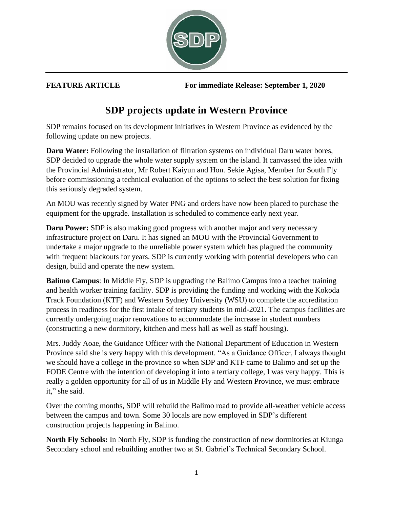

**FEATURE ARTICLE For immediate Release: September 1, 2020**

## **SDP projects update in Western Province**

SDP remains focused on its development initiatives in Western Province as evidenced by the following update on new projects.

**Daru Water:** Following the installation of filtration systems on individual Daru water bores, SDP decided to upgrade the whole water supply system on the island. It canvassed the idea with the Provincial Administrator, Mr Robert Kaiyun and Hon. Sekie Agisa, Member for South Fly before commissioning a technical evaluation of the options to select the best solution for fixing this seriously degraded system.

An MOU was recently signed by Water PNG and orders have now been placed to purchase the equipment for the upgrade. Installation is scheduled to commence early next year.

**Daru Power:** SDP is also making good progress with another major and very necessary infrastructure project on Daru. It has signed an MOU with the Provincial Government to undertake a major upgrade to the unreliable power system which has plagued the community with frequent blackouts for years. SDP is currently working with potential developers who can design, build and operate the new system.

**Balimo Campus**: In Middle Fly, SDP is upgrading the Balimo Campus into a teacher training and health worker training facility. SDP is providing the funding and working with the Kokoda Track Foundation (KTF) and Western Sydney University (WSU) to complete the accreditation process in readiness for the first intake of tertiary students in mid-2021. The campus facilities are currently undergoing major renovations to accommodate the increase in student numbers (constructing a new dormitory, kitchen and mess hall as well as staff housing).

Mrs. Juddy Aoae, the Guidance Officer with the National Department of Education in Western Province said she is very happy with this development. "As a Guidance Officer, I always thought we should have a college in the province so when SDP and KTF came to Balimo and set up the FODE Centre with the intention of developing it into a tertiary college, I was very happy. This is really a golden opportunity for all of us in Middle Fly and Western Province, we must embrace it," she said.

Over the coming months, SDP will rebuild the Balimo road to provide all-weather vehicle access between the campus and town. Some 30 locals are now employed in SDP's different construction projects happening in Balimo.

**North Fly Schools:** In North Fly, SDP is funding the construction of new dormitories at Kiunga Secondary school and rebuilding another two at St. Gabriel's Technical Secondary School.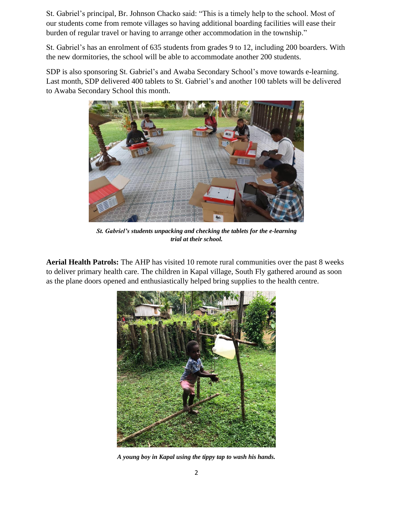St. Gabriel's principal, Br. Johnson Chacko said: "This is a timely help to the school. Most of our students come from remote villages so having additional boarding facilities will ease their burden of regular travel or having to arrange other accommodation in the township."

St. Gabriel's has an enrolment of 635 students from grades 9 to 12, including 200 boarders. With the new dormitories, the school will be able to accommodate another 200 students.

SDP is also sponsoring St. Gabriel's and Awaba Secondary School's move towards e-learning. Last month, SDP delivered 400 tablets to St. Gabriel's and another 100 tablets will be delivered to Awaba Secondary School this month.



*St. Gabriel's students unpacking and checking the tablets for the e-learning trial at their school.*

**Aerial Health Patrols:** The AHP has visited 10 remote rural communities over the past 8 weeks to deliver primary health care. The children in Kapal village, South Fly gathered around as soon as the plane doors opened and enthusiastically helped bring supplies to the health centre.



*A young boy in Kapal using the tippy tap to wash his hands.*